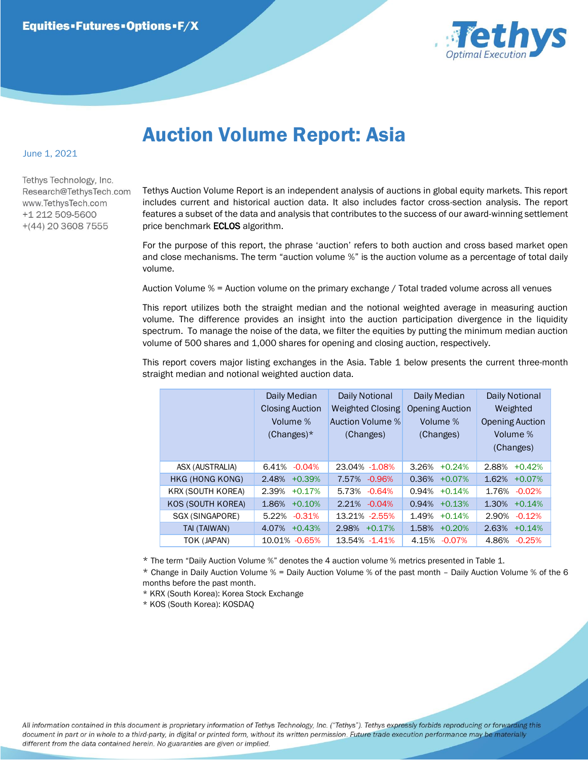

## Auction Volume Report: Asia

## June 1, 2021

Tethys Technology, Inc. Research@TethysTech.com www.TethvsTech.com +1 212 509-5600  $+(44)$  20 3608 7555

Tethys Auction Volume Report is an independent analysis of auctions in global equity markets. This report includes current and historical auction data. It also includes factor cross-section analysis. The report features a subset of the data and analysis that contributes to the success of our award-winning settlement price benchmark **ECLOS** algorithm.

For the purpose of this report, the phrase 'auction' refers to both auction and cross based market open and close mechanisms. The term "auction volume %" is the auction volume as a percentage of total daily volume.

Auction Volume % = Auction volume on the primary exchange / Total traded volume across all venues

This report utilizes both the straight median and the notional weighted average in measuring auction volume. The difference provides an insight into the auction participation divergence in the liquidity spectrum. To manage the noise of the data, we filter the equities by putting the minimum median auction volume of 500 shares and 1,000 shares for opening and closing auction, respectively.

This report covers major listing exchanges in the Asia. Table 1 below presents the current three-month straight median and notional weighted auction data.

|  |                          | Daily Median<br><b>Closing Auction</b><br>Volume %<br>$(Changes)^*$ | Daily Notional<br><b>Weighted Closing</b><br>Auction Volume %<br>(Changes) | Daily Median<br><b>Opening Auction</b><br>Volume %<br>(Changes) | <b>Daily Notional</b><br>Weighted<br><b>Opening Auction</b><br>Volume %<br>(Changes) |
|--|--------------------------|---------------------------------------------------------------------|----------------------------------------------------------------------------|-----------------------------------------------------------------|--------------------------------------------------------------------------------------|
|  | ASX (AUSTRALIA)          | $6.41\% -0.04\%$                                                    | 23.04% -1.08%                                                              | 3.26%<br>$+0.24%$                                               | 2.88%<br>$+0.42%$                                                                    |
|  | HKG (HONG KONG)          | 2.48%<br>$+0.39%$                                                   | 7.57% -0.96%                                                               | 0.36%<br>$+0.07%$                                               | 1.62%<br>$+0.07%$                                                                    |
|  | <b>KRX (SOUTH KOREA)</b> | 2.39%<br>$+0.17%$                                                   | 5.73% -0.64%                                                               | 0.94%<br>$+0.14%$                                               | 1.76% -0.02%                                                                         |
|  | KOS (SOUTH KOREA)        | 1.86%<br>$+0.10%$                                                   | 2.21% -0.04%                                                               | 0.94%<br>$+0.13%$                                               | 1.30%<br>$+0.14%$                                                                    |
|  | SGX (SINGAPORE)          | $-0.31%$<br>5.22%                                                   | 13.21% -2.55%                                                              | 1.49%<br>$+0.14%$                                               | 2.90%<br>$-0.12%$                                                                    |
|  | TAI (TAIWAN)             | $4.07\%$ +0.43%                                                     | 2.98% +0.17%                                                               | 1.58%<br>$+0.20%$                                               | 2.63%<br>$+0.14%$                                                                    |
|  | TOK (JAPAN)              | 10.01% -0.65%                                                       | 13.54% -1.41%                                                              | 4.15%<br>$-0.07\%$                                              | 4.86%<br>$-0.25%$                                                                    |

\* The term "Daily Auction Volume %" denotes the 4 auction volume % metrics presented in Table 1.

\* Change in Daily Auction Volume % = Daily Auction Volume % of the past month – Daily Auction Volume % of the 6 months before the past month.

\* KRX (South Korea): Korea Stock Exchange

\* KOS (South Korea): KOSDAQ

All information contained in this document is proprietary information of Tethys Technology, Inc. ("Tethys"). Tethys expressly forbids reproducing or forwarding this document in part or in whole to a third-party, in digital or printed form, without its written permission. Future trade execution performance may be materially different from the data contained herein. No guaranties are given or implied.